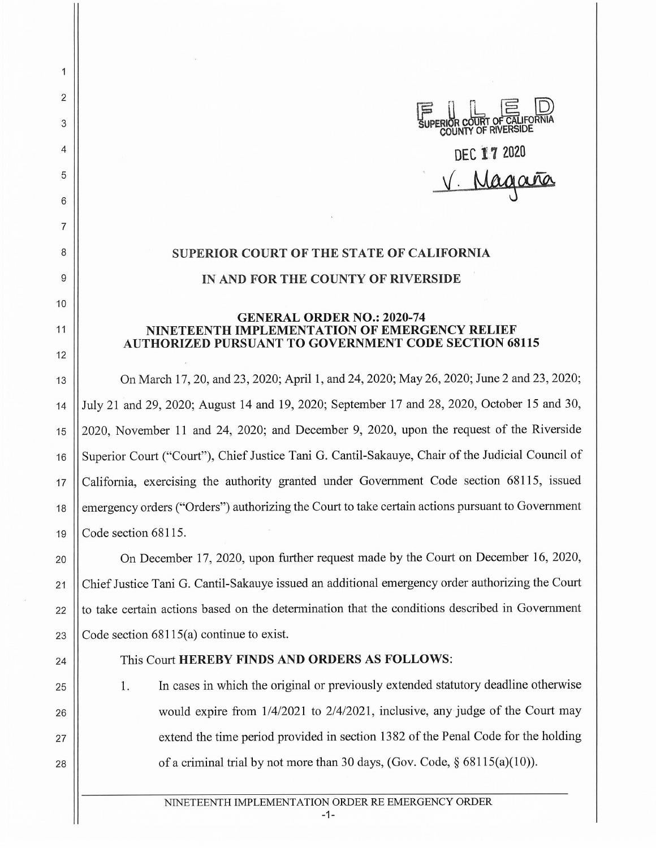

## **SUPERIOR COURT OF THE STATE OF CALIFORNIA IN AND FOR THE COUNTY OF RIVERSIDE**

## **GENERAL ORDER NO.: 2020-74 NINETEENTH IMPLEMENTATION OF EMERGENCY RELIEF AUTHORIZED PURSUANT TO GOVERNMENT CODE SECTION 68115**

13 On March 17, 20, and 23, 2020; April **1,** and 24, 2020; May 26, 2020; June 2 and 23, 2020; 14 July 21 and 29, 2020; August 14 and 19, 2020; September 17 and 28, 2020, October 15 and 30, 15 2020, November **11** and 24, 2020; and December 9, 2020, upon the request of the Riverside 16 || Superior Court ("Court"), Chief Justice Tani G. Cantil-Sakauye, Chair of the Judicial Council of 17 California, exercising the authority granted under Government Code section 68115, issued 18 | emergency orders ("Orders") authorizing the Court to take certain actions pursuant to Government 19 Code section 68115.

20 | On December 17, 2020, upon further request made by the Court on December 16, 2020, 21 Chief Justice Tani G. Cantil-Sakauye issued an additional emergency order authorizing the Court  $22$   $\parallel$  to take certain actions based on the determination that the conditions described in Government 23  $\vert$  Code section 68115(a) continue to exist.

25

26

27

28

2

 $\overline{1}$ 

3

4

5

6

7

8

9

10

11

12

## 24 This Court **HEREBY FINDS AND ORDERS AS FOLLOWS:**

1. In cases in which the original or previously extended statutory deadline otherwise would expire from 1/4/2021 to 2/4/2021, inclusive, any judge of the Court may extend the time period provided in section 1382 of the Penal Code for the holding of a criminal trial by not more than 30 days, (Gov. Code,  $\S$  68115(a)(10)).